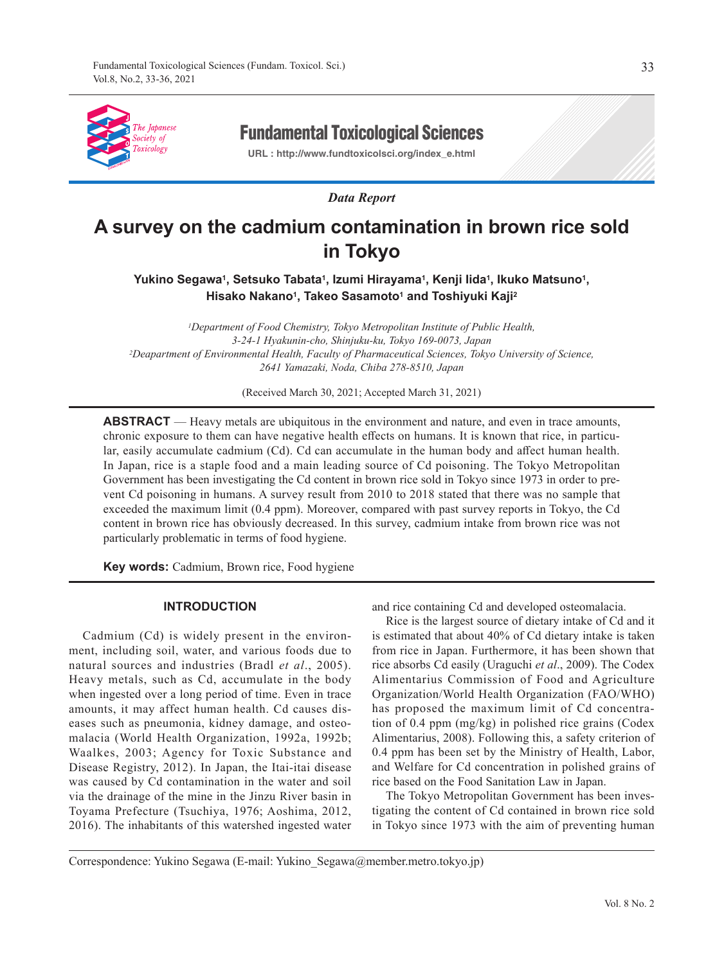

# Fundamental Toxicological Sciences

**URL : http://www.fundtoxicolsci.org/index\_e.html**

*Data Report*

# **A survey on the cadmium contamination in brown rice sold in Tokyo**

**Yukino Segawa1, Setsuko Tabata1, Izumi Hirayama1, Kenji Iida1, Ikuko Matsuno1,**  Hisako Nakano<sup>1</sup>, Takeo Sasamoto<sup>1</sup> and Toshiyuki Kaji<sup>2</sup>

*1Department of Food Chemistry, Tokyo Metropolitan Institute of Public Health, 3-24-1 Hyakunin-cho, Shinjuku-ku, Tokyo 169-0073, Japan 2Deapartment of Environmental Health, Faculty of Pharmaceutical Sciences, Tokyo University of Science, 2641 Yamazaki, Noda, Chiba 278-8510, Japan*

(Received March 30, 2021; Accepted March 31, 2021)

**ABSTRACT** — Heavy metals are ubiquitous in the environment and nature, and even in trace amounts, chronic exposure to them can have negative health effects on humans. It is known that rice, in particular, easily accumulate cadmium (Cd). Cd can accumulate in the human body and affect human health. In Japan, rice is a staple food and a main leading source of Cd poisoning. The Tokyo Metropolitan Government has been investigating the Cd content in brown rice sold in Tokyo since 1973 in order to prevent Cd poisoning in humans. A survey result from 2010 to 2018 stated that there was no sample that exceeded the maximum limit (0.4 ppm). Moreover, compared with past survey reports in Tokyo, the Cd content in brown rice has obviously decreased. In this survey, cadmium intake from brown rice was not particularly problematic in terms of food hygiene.

**Key words:** Cadmium, Brown rice, Food hygiene

# **INTRODUCTION**

Cadmium (Cd) is widely present in the environment, including soil, water, and various foods due to natural sources and industries (Bradl *et al*., 2005). Heavy metals, such as Cd, accumulate in the body when ingested over a long period of time. Even in trace amounts, it may affect human health. Cd causes diseases such as pneumonia, kidney damage, and osteomalacia (World Health Organization, 1992a, 1992b; Waalkes, 2003; Agency for Toxic Substance and Disease Registry, 2012). In Japan, the Itai-itai disease was caused by Cd contamination in the water and soil via the drainage of the mine in the Jinzu River basin in Toyama Prefecture (Tsuchiya, 1976; Aoshima, 2012, 2016). The inhabitants of this watershed ingested water and rice containing Cd and developed osteomalacia.

Rice is the largest source of dietary intake of Cd and it is estimated that about 40% of Cd dietary intake is taken from rice in Japan. Furthermore, it has been shown that rice absorbs Cd easily (Uraguchi *et al*., 2009). The Codex Alimentarius Commission of Food and Agriculture Organization/World Health Organization (FAO/WHO) has proposed the maximum limit of Cd concentration of 0.4 ppm (mg/kg) in polished rice grains (Codex Alimentarius, 2008). Following this, a safety criterion of 0.4 ppm has been set by the Ministry of Health, Labor, and Welfare for Cd concentration in polished grains of rice based on the Food Sanitation Law in Japan.

The Tokyo Metropolitan Government has been investigating the content of Cd contained in brown rice sold in Tokyo since 1973 with the aim of preventing human

Correspondence: Yukino Segawa (E-mail: Yukino\_Segawa@member.metro.tokyo.jp)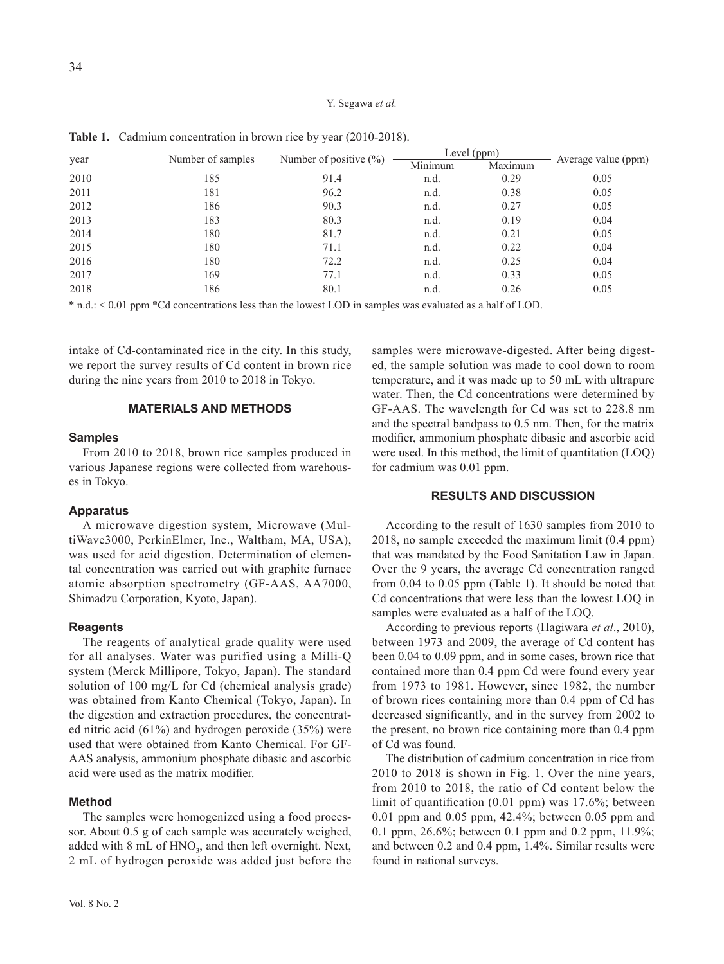#### Y. Segawa *et al.*

| year |                   |                            |         | Level (ppm) |                     |  |
|------|-------------------|----------------------------|---------|-------------|---------------------|--|
|      | Number of samples | Number of positive $(\% )$ | Minimum | Maximum     | Average value (ppm) |  |
| 2010 | 185               | 91.4                       | n.d.    | 0.29        | 0.05                |  |
| 2011 | 181               | 96.2                       | n.d.    | 0.38        | 0.05                |  |
| 2012 | 186               | 90.3                       | n.d.    | 0.27        | 0.05                |  |
| 2013 | 183               | 80.3                       | n.d.    | 0.19        | 0.04                |  |
| 2014 | 180               | 81.7                       | n.d.    | 0.21        | 0.05                |  |
| 2015 | 180               | 71.1                       | n.d.    | 0.22        | 0.04                |  |
| 2016 | 180               | 72.2                       | n.d.    | 0.25        | 0.04                |  |
| 2017 | 169               | 77.1                       | n.d.    | 0.33        | 0.05                |  |
| 2018 | 186               | 80.1                       | n.d.    | 0.26        | 0.05                |  |

**Table 1.** Cadmium concentration in brown rice by year (2010-2018).

\* n.d.: < 0.01 ppm \*Cd concentrations less than the lowest LOD in samples was evaluated as a half of LOD.

intake of Cd-contaminated rice in the city. In this study, we report the survey results of Cd content in brown rice during the nine years from 2010 to 2018 in Tokyo.

# **MATERIALS AND METHODS**

#### **Samples**

From 2010 to 2018, brown rice samples produced in various Japanese regions were collected from warehouses in Tokyo.

# **Apparatus**

A microwave digestion system, Microwave (MultiWave3000, PerkinElmer, Inc., Waltham, MA, USA), was used for acid digestion. Determination of elemental concentration was carried out with graphite furnace atomic absorption spectrometry (GF-AAS, AA7000, Shimadzu Corporation, Kyoto, Japan).

# **Reagents**

The reagents of analytical grade quality were used for all analyses. Water was purified using a Milli-Q system (Merck Millipore, Tokyo, Japan). The standard solution of 100 mg/L for Cd (chemical analysis grade) was obtained from Kanto Chemical (Tokyo, Japan). In the digestion and extraction procedures, the concentrated nitric acid (61%) and hydrogen peroxide (35%) were used that were obtained from Kanto Chemical. For GF-AAS analysis, ammonium phosphate dibasic and ascorbic acid were used as the matrix modifier.

# **Method**

The samples were homogenized using a food processor. About 0.5 g of each sample was accurately weighed, added with 8 mL of  $HNO<sub>3</sub>$ , and then left overnight. Next, 2 mL of hydrogen peroxide was added just before the samples were microwave-digested. After being digested, the sample solution was made to cool down to room temperature, and it was made up to 50 mL with ultrapure water. Then, the Cd concentrations were determined by GF-AAS. The wavelength for Cd was set to 228.8 nm and the spectral bandpass to 0.5 nm. Then, for the matrix modifier, ammonium phosphate dibasic and ascorbic acid were used. In this method, the limit of quantitation (LOQ) for cadmium was 0.01 ppm.

# **RESULTS AND DISCUSSION**

According to the result of 1630 samples from 2010 to 2018, no sample exceeded the maximum limit (0.4 ppm) that was mandated by the Food Sanitation Law in Japan. Over the 9 years, the average Cd concentration ranged from 0.04 to 0.05 ppm (Table 1). It should be noted that Cd concentrations that were less than the lowest LOQ in samples were evaluated as a half of the LOQ.

According to previous reports (Hagiwara *et al*., 2010), between 1973 and 2009, the average of Cd content has been 0.04 to 0.09 ppm, and in some cases, brown rice that contained more than 0.4 ppm Cd were found every year from 1973 to 1981. However, since 1982, the number of brown rices containing more than 0.4 ppm of Cd has decreased significantly, and in the survey from 2002 to the present, no brown rice containing more than 0.4 ppm of Cd was found.

The distribution of cadmium concentration in rice from 2010 to 2018 is shown in Fig. 1. Over the nine years, from 2010 to 2018, the ratio of Cd content below the limit of quantification (0.01 ppm) was 17.6%; between 0.01 ppm and 0.05 ppm, 42.4%; between 0.05 ppm and 0.1 ppm, 26.6%; between 0.1 ppm and 0.2 ppm, 11.9%; and between 0.2 and 0.4 ppm, 1.4%. Similar results were found in national surveys.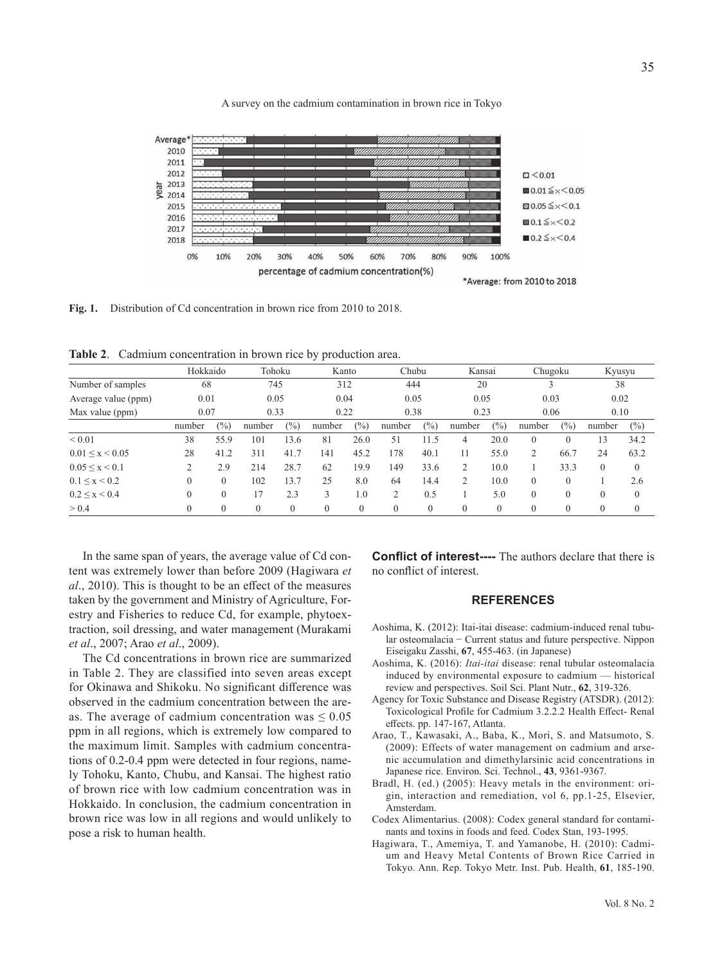

A survey on the cadmium contamination in brown rice in Tokyo

**Fig. 1.** Distribution of Cd concentration in brown rice from 2010 to 2018.

**Table 2**. Cadmium concentration in brown rice by production area.

|                         | Hokkaido |          | Tohoku       |              | Kanto    |      | Chubu    |          | Kansai         |      | Chugoku  |          | Kyusyu           |          |
|-------------------------|----------|----------|--------------|--------------|----------|------|----------|----------|----------------|------|----------|----------|------------------|----------|
| Number of samples       | 68       |          |              | 745<br>312   |          | 444  |          | 20       |                |      |          | 38       |                  |          |
| Average value (ppm)     | 0.01     |          |              | 0.04<br>0.05 |          | 0.05 |          | 0.05     |                | 0.03 |          | 0.02     |                  |          |
| Max value (ppm)         | 0.07     |          | 0.33<br>0.22 |              | 0.38     |      | 0.23     |          | 0.06           |      | 0.10     |          |                  |          |
|                         | number   | $(\%)$   | number       | (%)          | number   | (%)  | number   | (%)      | number         | (%)  | number   | (%)      | number           | $(\%)$   |
| ${}< 0.01$              | 38       | 55.9     | 101          | 13.6         | 81       | 26.0 | 51       | 11.5     | 4              | 20.0 | $\Omega$ | $\Omega$ | 13               | 34.2     |
| $0.01 \leq x \leq 0.05$ | 28       | 41.2     | 311          | 41.7         | 141      | 45.2 | 178      | 40.1     | 11             | 55.0 |          | 66.7     | 24               | 63.2     |
| $0.05 \leq x \leq 0.1$  |          | 2.9      | 214          | 28.7         | 62       | 19.9 | 149      | 33.6     |                | 10.0 |          | 33.3     | $\mathbf{0}$     | $\theta$ |
| $0.1 \leq x \leq 0.2$   | 0        | $\Omega$ | 102          | 13.7         | 25       | 8.0  | 64       | 14.4     | $\overline{2}$ | 10.0 | $\theta$ | $\theta$ |                  | 2.6      |
| $0.2 \leq x \leq 0.4$   | 0        |          | 17           | 2.3          | 3        | 1.0  | 2        | 0.5      |                | 5.0  | $\Omega$ | $\Omega$ | $\theta$         | $\Omega$ |
| > 0.4                   |          |          | $\theta$     | $\mathbf{0}$ | $\theta$ |      | $\theta$ | $\theta$ | $\theta$       |      |          | $\theta$ | $\boldsymbol{0}$ | $\theta$ |

In the same span of years, the average value of Cd content was extremely lower than before 2009 (Hagiwara *et al*., 2010). This is thought to be an effect of the measures taken by the government and Ministry of Agriculture, Forestry and Fisheries to reduce Cd, for example, phytoextraction, soil dressing, and water management (Murakami *et al*., 2007; Arao *et al*., 2009).

The Cd concentrations in brown rice are summarized in Table 2. They are classified into seven areas except for Okinawa and Shikoku. No significant difference was observed in the cadmium concentration between the areas. The average of cadmium concentration was  $\leq 0.05$ ppm in all regions, which is extremely low compared to the maximum limit. Samples with cadmium concentrations of 0.2-0.4 ppm were detected in four regions, namely Tohoku, Kanto, Chubu, and Kansai. The highest ratio of brown rice with low cadmium concentration was in Hokkaido. In conclusion, the cadmium concentration in brown rice was low in all regions and would unlikely to pose a risk to human health.

**Conflict of interest----** The authors declare that there is no conflict of interest.

#### **REFERENCES**

- Aoshima, K. (2012): Itai-itai disease: cadmium-induced renal tubular osteomalacia − Current status and future perspective. Nippon Eiseigaku Zasshi, **67**, 455-463. (in Japanese)
- Aoshima, K. (2016): *Itai-itai* disease: renal tubular osteomalacia induced by environmental exposure to cadmium — historical review and perspectives. Soil Sci. Plant Nutr., **62**, 319-326.
- Agency for Toxic Substance and Disease Registry (ATSDR). (2012): Toxicological Profile for Cadmium 3.2.2.2 Health Effect- Renal effects. pp. 147-167, Atlanta.
- Arao, T., Kawasaki, A., Baba, K., Mori, S. and Matsumoto, S. (2009): Effects of water management on cadmium and arsenic accumulation and dimethylarsinic acid concentrations in Japanese rice. Environ. Sci. Technol., **43**, 9361-9367.
- Bradl, H. (ed.) (2005): Heavy metals in the environment: origin, interaction and remediation, vol 6, pp.1-25, Elsevier, Amsterdam.
- Codex Alimentarius. (2008): Codex general standard for contaminants and toxins in foods and feed. Codex Stan, 193-1995.
- Hagiwara, T., Amemiya, T. and Yamanobe, H. (2010): Cadmium and Heavy Metal Contents of Brown Rice Carried in Tokyo. Ann. Rep. Tokyo Metr. Inst. Pub. Health, **61**, 185-190.